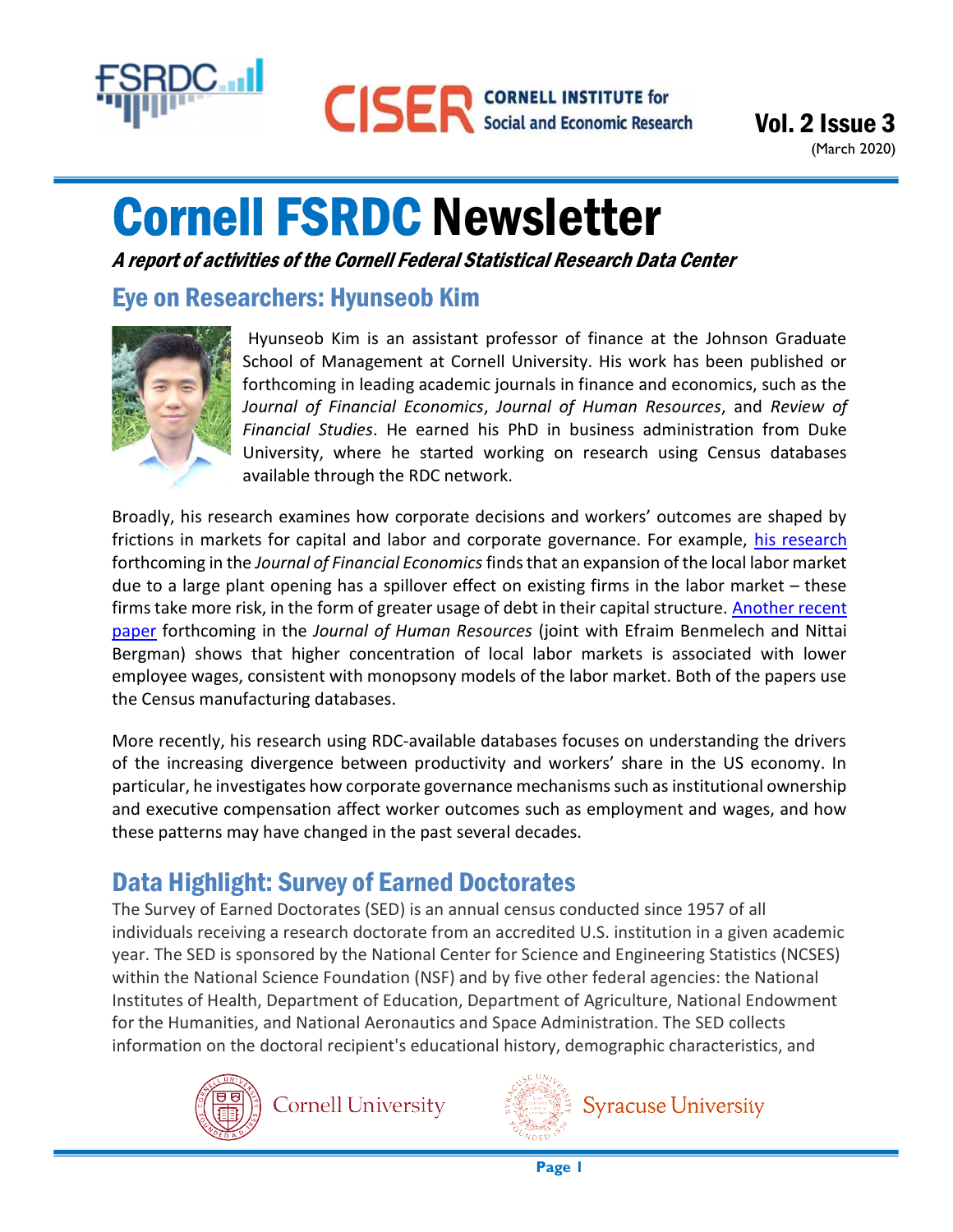

(March 2020)

# Cornell FSRDC Newsletter

A report of activities of the Cornell Federal Statistical Research Data Center

## Eye on Researchers: Hyunseob Kim



Hyunseob Kim is an assistant professor of finance at the Johnson Graduate School of Management at Cornell University. His work has been published or forthcoming in leading academic journals in finance and economics, such as the Journal of Financial Economics, Journal of Human Resources, and Review of Financial Studies. He earned his PhD in business administration from Duke University, where he started working on research using Census databases available through the RDC network.

Broadly, his research examines how corporate decisions and workers' outcomes are shaped by frictions in markets for capital and labor and corporate governance. For example, his research forthcoming in the Journal of Financial Economics finds that an expansion of the local labor market due to a large plant opening has a spillover effect on existing firms in the labor market – these firms take more risk, in the form of greater usage of debt in their capital structure. Another recent paper forthcoming in the Journal of Human Resources (joint with Efraim Benmelech and Nittai Bergman) shows that higher concentration of local labor markets is associated with lower employee wages, consistent with monopsony models of the labor market. Both of the papers use the Census manufacturing databases.

More recently, his research using RDC-available databases focuses on understanding the drivers of the increasing divergence between productivity and workers' share in the US economy. In particular, he investigates how corporate governance mechanisms such as institutional ownership and executive compensation affect worker outcomes such as employment and wages, and how these patterns may have changed in the past several decades.

# Data Highlight: Survey of Earned Doctorates

The Survey of Earned Doctorates (SED) is an annual census conducted since 1957 of all individuals receiving a research doctorate from an accredited U.S. institution in a given academic year. The SED is sponsored by the National Center for Science and Engineering Statistics (NCSES) within the National Science Foundation (NSF) and by five other federal agencies: the National Institutes of Health, Department of Education, Department of Agriculture, National Endowment for the Humanities, and National Aeronautics and Space Administration. The SED collects information on the doctoral recipient's educational history, demographic characteristics, and





**Syracuse University**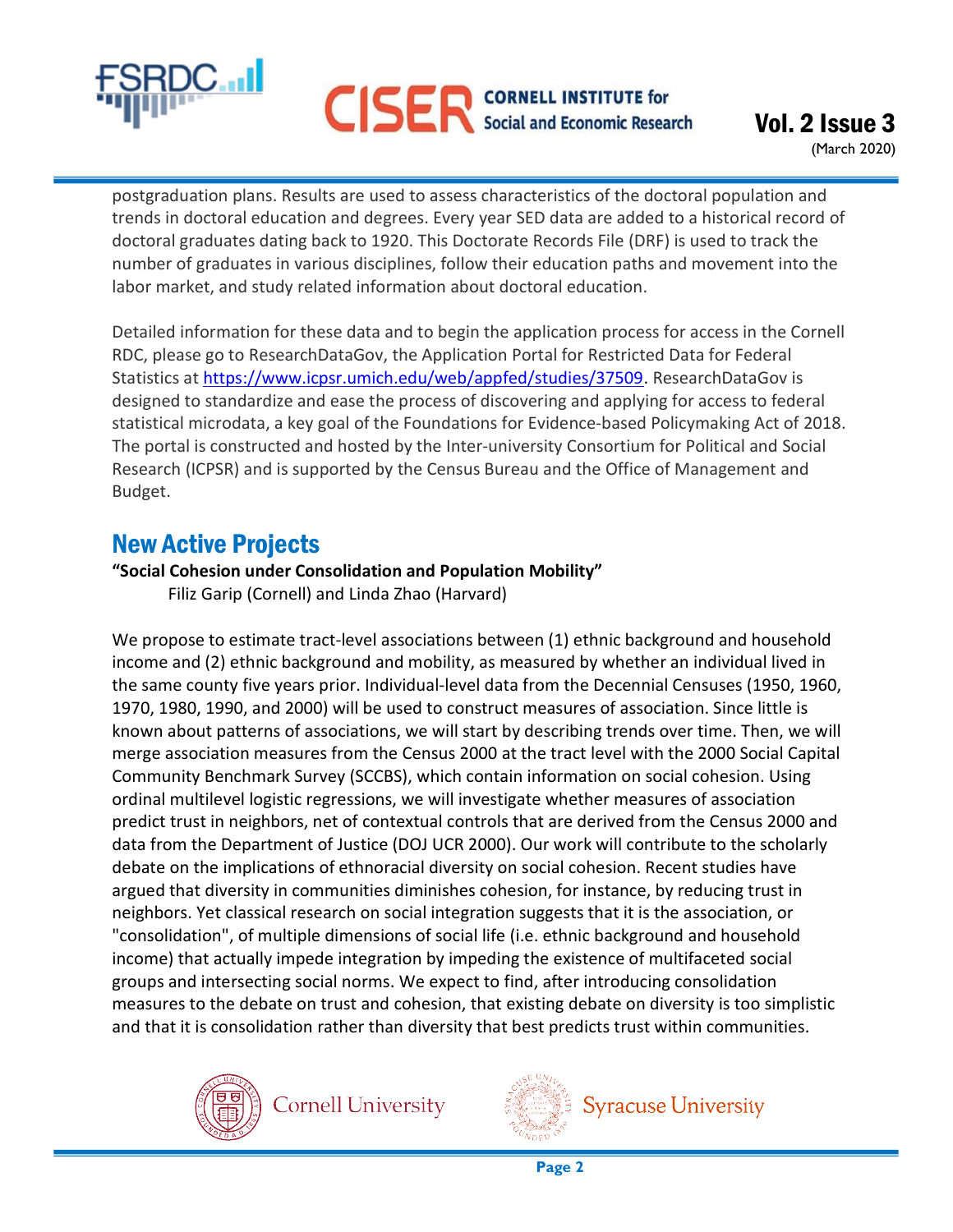

postgraduation plans. Results are used to assess characteristics of the doctoral population and trends in doctoral education and degrees. Every year SED data are added to a historical record of doctoral graduates dating back to 1920. This Doctorate Records File (DRF) is used to track the number of graduates in various disciplines, follow their education paths and movement into the labor market, and study related information about doctoral education.

Detailed information for these data and to begin the application process for access in the Cornell RDC, please go to ResearchDataGov, the Application Portal for Restricted Data for Federal Statistics at https://www.icpsr.umich.edu/web/appfed/studies/37509. ResearchDataGov is designed to standardize and ease the process of discovering and applying for access to federal statistical microdata, a key goal of the Foundations for Evidence-based Policymaking Act of 2018. The portal is constructed and hosted by the Inter-university Consortium for Political and Social Research (ICPSR) and is supported by the Census Bureau and the Office of Management and Budget.

## New Active Projects

#### "Social Cohesion under Consolidation and Population Mobility"

Filiz Garip (Cornell) and Linda Zhao (Harvard)

We propose to estimate tract-level associations between (1) ethnic background and household income and (2) ethnic background and mobility, as measured by whether an individual lived in the same county five years prior. Individual-level data from the Decennial Censuses (1950, 1960, 1970, 1980, 1990, and 2000) will be used to construct measures of association. Since little is known about patterns of associations, we will start by describing trends over time. Then, we will merge association measures from the Census 2000 at the tract level with the 2000 Social Capital Community Benchmark Survey (SCCBS), which contain information on social cohesion. Using ordinal multilevel logistic regressions, we will investigate whether measures of association predict trust in neighbors, net of contextual controls that are derived from the Census 2000 and data from the Department of Justice (DOJ UCR 2000). Our work will contribute to the scholarly debate on the implications of ethnoracial diversity on social cohesion. Recent studies have argued that diversity in communities diminishes cohesion, for instance, by reducing trust in neighbors. Yet classical research on social integration suggests that it is the association, or "consolidation", of multiple dimensions of social life (i.e. ethnic background and household income) that actually impede integration by impeding the existence of multifaceted social groups and intersecting social norms. We expect to find, after introducing consolidation measures to the debate on trust and cohesion, that existing debate on diversity is too simplistic and that it is consolidation rather than diversity that best predicts trust within communities.





**Syracuse University**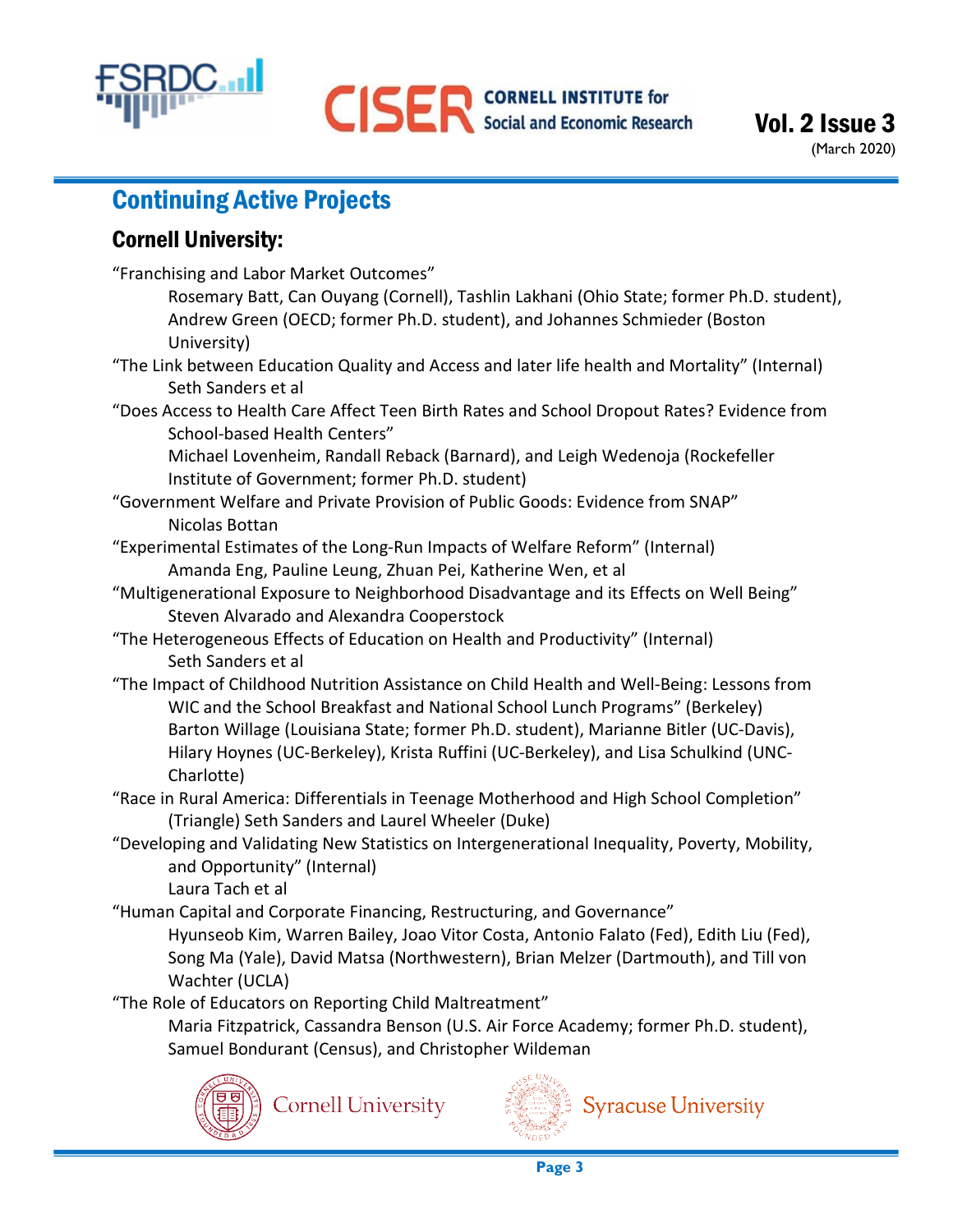

# Continuing Active Projects

### Cornell University:

"Franchising and Labor Market Outcomes" Rosemary Batt, Can Ouyang (Cornell), Tashlin Lakhani (Ohio State; former Ph.D. student), Andrew Green (OECD; former Ph.D. student), and Johannes Schmieder (Boston University) "The Link between Education Quality and Access and later life health and Mortality" (Internal) Seth Sanders et al "Does Access to Health Care Affect Teen Birth Rates and School Dropout Rates? Evidence from School-based Health Centers" Michael Lovenheim, Randall Reback (Barnard), and Leigh Wedenoja (Rockefeller Institute of Government; former Ph.D. student) "Government Welfare and Private Provision of Public Goods: Evidence from SNAP" Nicolas Bottan "Experimental Estimates of the Long-Run Impacts of Welfare Reform" (Internal) Amanda Eng, Pauline Leung, Zhuan Pei, Katherine Wen, et al "Multigenerational Exposure to Neighborhood Disadvantage and its Effects on Well Being" Steven Alvarado and Alexandra Cooperstock "The Heterogeneous Effects of Education on Health and Productivity" (Internal) Seth Sanders et al "The Impact of Childhood Nutrition Assistance on Child Health and Well-Being: Lessons from WIC and the School Breakfast and National School Lunch Programs" (Berkeley) Barton Willage (Louisiana State; former Ph.D. student), Marianne Bitler (UC-Davis), Hilary Hoynes (UC-Berkeley), Krista Ruffini (UC-Berkeley), and Lisa Schulkind (UNC- Charlotte) "Race in Rural America: Differentials in Teenage Motherhood and High School Completion" (Triangle) Seth Sanders and Laurel Wheeler (Duke) "Developing and Validating New Statistics on Intergenerational Inequality, Poverty, Mobility, and Opportunity" (Internal) Laura Tach et al "Human Capital and Corporate Financing, Restructuring, and Governance" Hyunseob Kim, Warren Bailey, Joao Vitor Costa, Antonio Falato (Fed), Edith Liu (Fed), Song Ma (Yale), David Matsa (Northwestern), Brian Melzer (Dartmouth), and Till von Wachter (UCLA) "The Role of Educators on Reporting Child Maltreatment" Maria Fitzpatrick, Cassandra Benson (U.S. Air Force Academy; former Ph.D. student), Samuel Bondurant (Census), and Christopher Wildeman



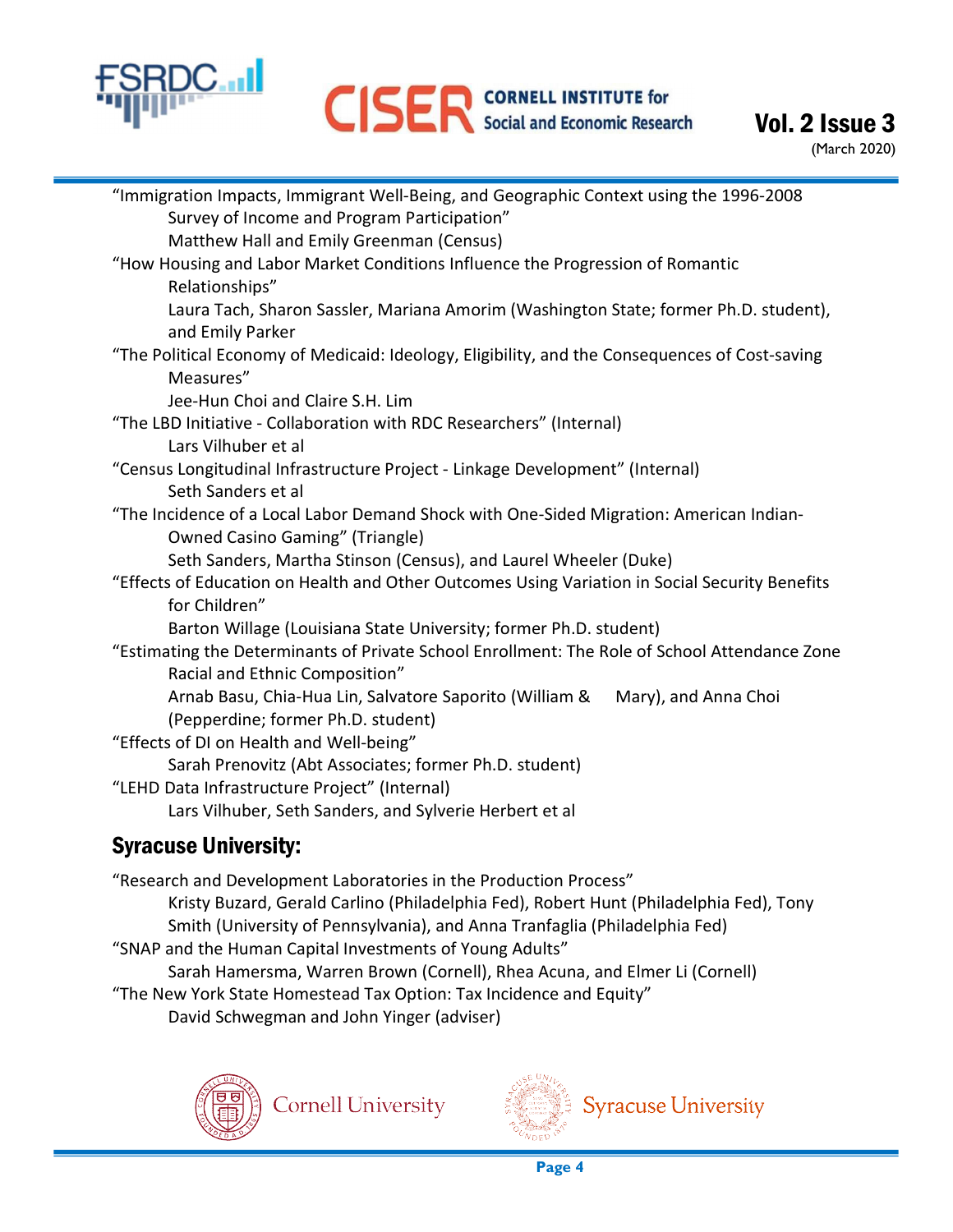

| "Immigration Impacts, Immigrant Well-Being, and Geographic Context using the 1996-2008         |
|------------------------------------------------------------------------------------------------|
| Survey of Income and Program Participation"                                                    |
| Matthew Hall and Emily Greenman (Census)                                                       |
| "How Housing and Labor Market Conditions Influence the Progression of Romantic                 |
| Relationships"                                                                                 |
| Laura Tach, Sharon Sassler, Mariana Amorim (Washington State; former Ph.D. student),           |
| and Emily Parker                                                                               |
| "The Political Economy of Medicaid: Ideology, Eligibility, and the Consequences of Cost-saving |
| Measures"                                                                                      |
| Jee-Hun Choi and Claire S.H. Lim                                                               |
| "The LBD Initiative - Collaboration with RDC Researchers" (Internal)                           |
| Lars Vilhuber et al                                                                            |
| "Census Longitudinal Infrastructure Project - Linkage Development" (Internal)                  |
| Seth Sanders et al                                                                             |
| "The Incidence of a Local Labor Demand Shock with One-Sided Migration: American Indian-        |
| <b>Owned Casino Gaming" (Triangle)</b>                                                         |
| Seth Sanders, Martha Stinson (Census), and Laurel Wheeler (Duke)                               |
| "Effects of Education on Health and Other Outcomes Using Variation in Social Security Benefits |
| for Children"                                                                                  |
| Barton Willage (Louisiana State University; former Ph.D. student)                              |
| "Estimating the Determinants of Private School Enrollment: The Role of School Attendance Zone  |
| Racial and Ethnic Composition"                                                                 |
| Arnab Basu, Chia-Hua Lin, Salvatore Saporito (William &<br>Mary), and Anna Choi                |
| (Pepperdine; former Ph.D. student)                                                             |
| "Effects of DI on Health and Well-being"                                                       |
| Sarah Prenovitz (Abt Associates; former Ph.D. student)                                         |
| "LEHD Data Infrastructure Project" (Internal)                                                  |
| Lars Vilhuber, Seth Sanders, and Sylverie Herbert et al                                        |
| <b>Syracuse University:</b>                                                                    |

## acuse University<del>.</del>

"Research and Development Laboratories in the Production Process" Kristy Buzard, Gerald Carlino (Philadelphia Fed), Robert Hunt (Philadelphia Fed), Tony Smith (University of Pennsylvania), and Anna Tranfaglia (Philadelphia Fed) "SNAP and the Human Capital Investments of Young Adults" Sarah Hamersma, Warren Brown (Cornell), Rhea Acuna, and Elmer Li (Cornell) "The New York State Homestead Tax Option: Tax Incidence and Equity" David Schwegman and John Yinger (adviser)